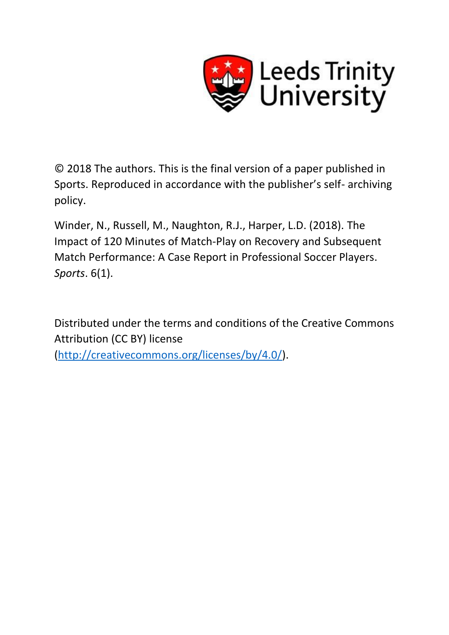

© 2018 The authors. This is the final version of a paper published in Sports. Reproduced in accordance with the publisher's self- archiving policy.

Winder, N., Russell, M., Naughton, R.J., Harper, L.D. (2018). The Impact of 120 Minutes of Match-Play on Recovery and Subsequent Match Performance: A Case Report in Professional Soccer Players. *Sports*. 6(1).

Distributed under the terms and conditions of the Creative Commons Attribution (CC BY) license [\(http://creativecommons.org/licenses/by/4.0/\)](http://creativecommons.org/licenses/by/4.0/).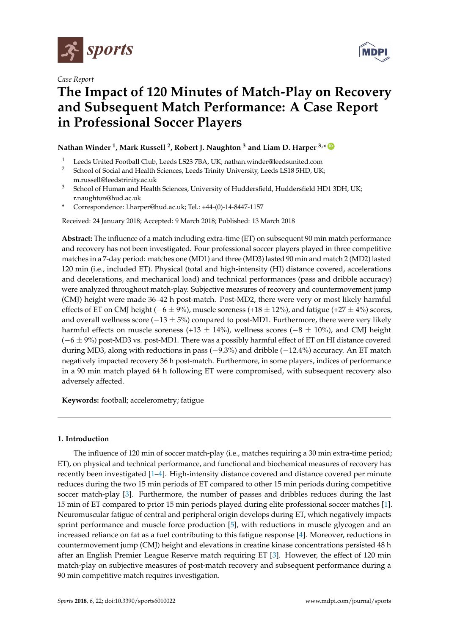

*Case Report*



# **The Impact of 120 Minutes of Match-Play on Recovery and Subsequent Match Performance: A Case Report in Professional Soccer Players**

# $\blacksquare$  Nathan Winder <sup>1</sup>, Mark Russell <sup>2</sup>, Robert J. Naughton <sup>3</sup> and Liam D. Harper <sup>3,\*  $\blacksquare$ </sup>

- <sup>1</sup> Leeds United Football Club, Leeds LS23 7BA, UK; nathan.winder@leedsunited.com<br><sup>2</sup> School of Social and Hoalth Sciences, Loods Trinity University Loods LS18 5HD, UK
- <sup>2</sup> School of Social and Health Sciences, Leeds Trinity University, Leeds LS18 5HD, UK; m.russell@leedstrinity.ac.uk
- <sup>3</sup> School of Human and Health Sciences, University of Huddersfield, Huddersfield HD1 3DH, UK; r.naughton@hud.ac.uk
- **\*** Correspondence: l.harper@hud.ac.uk; Tel.: +44-(0)-14-8447-1157

Received: 24 January 2018; Accepted: 9 March 2018; Published: 13 March 2018

**Abstract:** The influence of a match including extra-time (ET) on subsequent 90 min match performance and recovery has not been investigated. Four professional soccer players played in three competitive matches in a 7-day period: matches one (MD1) and three (MD3) lasted 90 min and match 2 (MD2) lasted 120 min (i.e., included ET). Physical (total and high-intensity (HI) distance covered, accelerations and decelerations, and mechanical load) and technical performances (pass and dribble accuracy) were analyzed throughout match-play. Subjective measures of recovery and countermovement jump (CMJ) height were made 36–42 h post-match. Post-MD2, there were very or most likely harmful effects of ET on CMJ height ( $-6 \pm 9\%$ ), muscle soreness (+18  $\pm$  12%), and fatigue (+27  $\pm$  4%) scores, and overall wellness score ( $-13 \pm 5\%$ ) compared to post-MD1. Furthermore, there were very likely harmful effects on muscle soreness (+13  $\pm$  14%), wellness scores (-8  $\pm$  10%), and CMJ height  $(-6 \pm 9\%)$  post-MD3 vs. post-MD1. There was a possibly harmful effect of ET on HI distance covered during MD3, along with reductions in pass (−9.3%) and dribble (−12.4%) accuracy. An ET match negatively impacted recovery 36 h post-match. Furthermore, in some players, indices of performance in a 90 min match played 64 h following ET were compromised, with subsequent recovery also adversely affected.

**Keywords:** football; accelerometry; fatigue

### **1. Introduction**

The influence of 120 min of soccer match-play (i.e., matches requiring a 30 min extra-time period; ET), on physical and technical performance, and functional and biochemical measures of recovery has recently been investigated [\[1](#page-7-0)[–4\]](#page-7-1). High-intensity distance covered and distance covered per minute reduces during the two 15 min periods of ET compared to other 15 min periods during competitive soccer match-play [\[3\]](#page-7-2). Furthermore, the number of passes and dribbles reduces during the last 15 min of ET compared to prior 15 min periods played during elite professional soccer matches [\[1\]](#page-7-0). Neuromuscular fatigue of central and peripheral origin develops during ET, which negatively impacts sprint performance and muscle force production [\[5\]](#page-7-3), with reductions in muscle glycogen and an increased reliance on fat as a fuel contributing to this fatigue response [\[4\]](#page-7-1). Moreover, reductions in countermovement jump (CMJ) height and elevations in creatine kinase concentrations persisted 48 h after an English Premier League Reserve match requiring ET [\[3\]](#page-7-2). However, the effect of 120 min match-play on subjective measures of post-match recovery and subsequent performance during a 90 min competitive match requires investigation.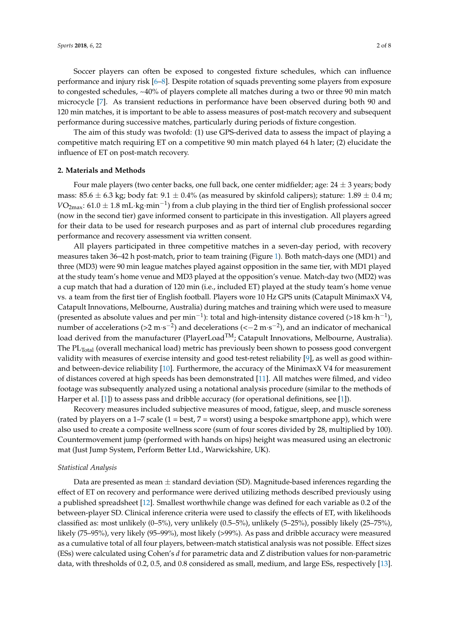Soccer players can often be exposed to congested fixture schedules, which can influence performance and injury risk [\[6](#page-7-4)[–8\]](#page-7-5). Despite rotation of squads preventing some players from exposure to congested schedules, ~40% of players complete all matches during a two or three 90 min match microcycle [\[7\]](#page-7-6). As transient reductions in performance have been observed during both 90 and 120 min matches, it is important to be able to assess measures of post-match recovery and subsequent performance during successive matches, particularly during periods of fixture congestion.

The aim of this study was twofold: (1) use GPS-derived data to assess the impact of playing a competitive match requiring ET on a competitive 90 min match played 64 h later; (2) elucidate the influence of ET on post-match recovery.

#### **2. Materials and Methods**

Four male players (two center backs, one full back, one center midfielder; age:  $24 \pm 3$  years; body mass:  $85.6 \pm 6.3$  kg; body fat:  $9.1 \pm 0.4$ % (as measured by skinfold calipers); stature:  $1.89 \pm 0.4$  m;  $VO_{2\text{max}}$ : 61.0  $\pm$  1.8 mL·kg·min<sup>-1</sup>) from a club playing in the third tier of English professional soccer (now in the second tier) gave informed consent to participate in this investigation. All players agreed for their data to be used for research purposes and as part of internal club procedures regarding performance and recovery assessment via written consent.

All players participated in three competitive matches in a seven-day period, with recovery measures taken 36–42 h post-match, prior to team training (Figure [1\)](#page-3-0). Both match-days one (MD1) and three (MD3) were 90 min league matches played against opposition in the same tier, with MD1 played at the study team's home venue and MD3 played at the opposition's venue. Match-day two (MD2) was a cup match that had a duration of 120 min (i.e., included ET) played at the study team's home venue vs. a team from the first tier of English football. Players wore 10 Hz GPS units (Catapult MinimaxX V4, Catapult Innovations, Melbourne, Australia) during matches and training which were used to measure (presented as absolute values and per min<sup>-1</sup>): total and high-intensity distance covered (>18 km·h<sup>-1</sup>), number of accelerations (>2 m·s<sup>-2</sup>) and decelerations (<-2 m·s<sup>-2</sup>), and an indicator of mechanical load derived from the manufacturer (PlayerLoad<sup>TM</sup>; Catapult Innovations, Melbourne, Australia). The PL<sub>Total</sub> (overall mechanical load) metric has previously been shown to possess good convergent validity with measures of exercise intensity and good test-retest reliability [\[9\]](#page-7-7), as well as good withinand between-device reliability [\[10\]](#page-7-8). Furthermore, the accuracy of the MinimaxX V4 for measurement of distances covered at high speeds has been demonstrated [\[11\]](#page-8-0). All matches were filmed, and video footage was subsequently analyzed using a notational analysis procedure (similar to the methods of Harper et al. [\[1\]](#page-7-0)) to assess pass and dribble accuracy (for operational definitions, see [\[1\]](#page-7-0)).

Recovery measures included subjective measures of mood, fatigue, sleep, and muscle soreness (rated by players on a  $1-7$  scale ( $1 = \text{best}$ ,  $7 = \text{worst}$ ) using a bespoke smartphone app), which were also used to create a composite wellness score (sum of four scores divided by 28, multiplied by 100). Countermovement jump (performed with hands on hips) height was measured using an electronic mat (Just Jump System, Perform Better Ltd., Warwickshire, UK).

#### *Statistical Analysis*

Data are presented as mean  $\pm$  standard deviation (SD). Magnitude-based inferences regarding the effect of ET on recovery and performance were derived utilizing methods described previously using a published spreadsheet [\[12\]](#page-8-1). Smallest worthwhile change was defined for each variable as 0.2 of the between-player SD. Clinical inference criteria were used to classify the effects of ET, with likelihoods classified as: most unlikely (0–5%), very unlikely (0.5–5%), unlikely (5–25%), possibly likely (25–75%), likely (75–95%), very likely (95–99%), most likely (>99%). As pass and dribble accuracy were measured as a cumulative total of all four players, between-match statistical analysis was not possible. Effect sizes (ESs) were calculated using Cohen's *d* for parametric data and Z distribution values for non-parametric data, with thresholds of 0.2, 0.5, and 0.8 considered as small, medium, and large ESs, respectively [\[13\]](#page-8-2).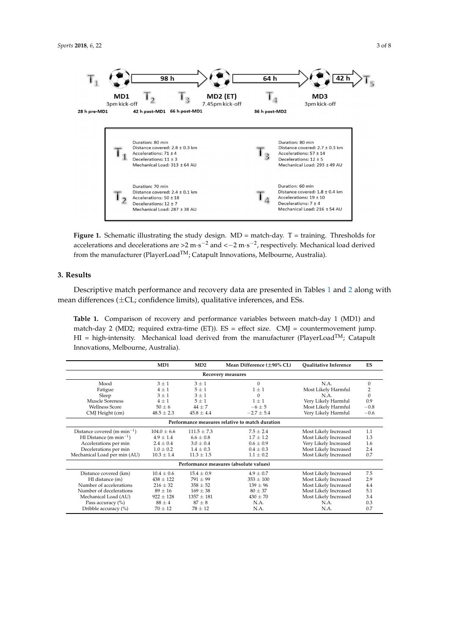<span id="page-3-0"></span>

**Figure 1.** Schematic illustrating the study design. MD = match-day. T = training. Thresholds for **Figure 1.** Schematic illustrating the study design. MD = match-day. T = training. Thresholds for accelerations and decelerations are >2 m·s<sup>-2</sup> and <-2 m·s<sup>-2</sup>, respectively. Mechanical load derived from the manufacturer (PlayerLoad $^{TM}$ ; Catapult Innovations, Melbourne, Australia).

## **3. Results 3. Results**

Descriptive match performance and recovery data are presented in Tables [1 a](#page-3-1)nd [2 a](#page-4-0)long with Descriptive match performance and recovery data are presented in Tables 1 and 2 along with mean differences (±CL; confidence limits), qualitative inferences, and ESs. mean differences (±CL; confidence limits), qualitative inferences, and ESs.

<span id="page-3-1"></span>Table 1. Comparison of recovery and performance variables between match-day 1 (MD1) and match-day 2 (MD2; required extra-time (ET)). ES = effect size. CMJ = countermovement jump. HI = high-intensity. Mechanical load derived from the manufacturer (PlayerLoad<sup>TM</sup>; Catapult Melbourne, Australia). Innovations, Melbourne, Australia).

|                                                 | MD1            | MD2            | Mean Difference $(\pm 90\%$ CL)        | Qualitative Inference | ES           |  |  |  |  |
|-------------------------------------------------|----------------|----------------|----------------------------------------|-----------------------|--------------|--|--|--|--|
| Recovery measures                               |                |                |                                        |                       |              |  |  |  |  |
| Mood                                            | $3 + 1$        | $3 + 1$        | $\Omega$                               | N.A.                  | $\Omega$     |  |  |  |  |
| Fatigue                                         | $4 + 1$        | $5 + 1$        | $1 + 1$                                | Most Likely Harmful   | 2            |  |  |  |  |
| Sleep                                           | $3 + 1$        | $3 + 1$        | 0                                      | N.A.                  | $\mathbf{0}$ |  |  |  |  |
| Muscle Soreness                                 | $4 + 1$        | $5 + 1$        | $1 + 1$                                | Very Likely Harmful   | 0.9          |  |  |  |  |
| <b>Wellness Score</b>                           | $50 + 6$       | $44 + 7$       | $-6+5$                                 | Most Likely Harmful   | $-0.8$       |  |  |  |  |
| CMJ Height (cm)                                 | $48.5 \pm 2.3$ | $45.8 \pm 4.4$ | $-2.7 \pm 5.4$                         | Very Likely Harmful   | $-0.6$       |  |  |  |  |
| Performance measures relative to match duration |                |                |                                        |                       |              |  |  |  |  |
| Distance covered $(m \cdot min^{-1})$           | $104.0 + 6.6$  | $111.5 + 7.3$  | $7.5 + 2.4$                            | Most Likely Increased | 1.1          |  |  |  |  |
| HI Distance $(m \cdot min^{-1})$                | $4.9 + 1.4$    | $6.6 + 0.8$    | $1.7 + 1.2$                            | Most Likely Increased | 1.3          |  |  |  |  |
| Accelerations per min                           | $2.4 + 0.4$    | $3.0 \pm 0.4$  | $0.6 + 0.9$                            | Very Likely Increased | 1.6          |  |  |  |  |
| Decelerations per min                           | $1.0 \pm 0.2$  | $1.4 \pm 0.3$  | $0.4 + 0.3$                            | Most Likely Increased | 2.4          |  |  |  |  |
| Mechanical Load per min (AU)                    | $10.3 \pm 1.4$ | $11.3 \pm 1.5$ | $1.1 + 0.2$                            | Most Likely Increased | 0.7          |  |  |  |  |
|                                                 |                |                | Performance measures (absolute values) |                       |              |  |  |  |  |
| Distance covered (km)                           | $10.4 + 0.6$   | $15.4 + 0.9$   | $4.9 + 0.7$                            | Most Likely Increased | 7.5          |  |  |  |  |
| HI distance (m)                                 | $438 + 122$    | $791 \pm 99$   | $353 \pm 100$                          | Most Likely Increased | 2.9          |  |  |  |  |
| Number of accelerations                         | $216 + 32$     | $358 + 52$     | $139 + 96$                             | Most Likely Increased | 4.4          |  |  |  |  |
| Number of decelerations                         | $89 \pm 16$    | $169 + 38$     | $80 + 37$                              | Most Likely Increased | 5.1          |  |  |  |  |
| Mechanical Load (AU)                            | $922 + 128$    | $1357 \pm 181$ | $430 \pm 70$                           | Most Likely Increased | 3.4          |  |  |  |  |
| Pass accuracy (%)                               | $88 + 4$       | $87 + 8$       | N.A.                                   | N.A.                  | 0.3          |  |  |  |  |
| Dribble accuracy (%)                            | $70 + 12$      | $78 + 12$      | N.A.                                   | N.A.                  | 0.7          |  |  |  |  |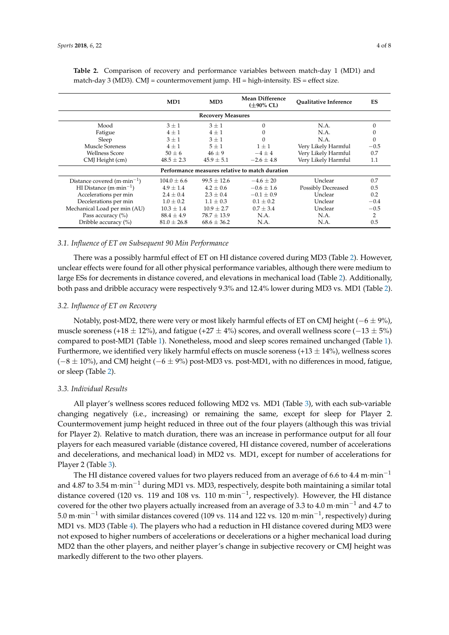|                                                                  | MD1             | MD3             | Mean Difference<br>$(\pm 90\%$ CL) | <b>Oualitative Inference</b> | ES     |  |  |  |  |
|------------------------------------------------------------------|-----------------|-----------------|------------------------------------|------------------------------|--------|--|--|--|--|
| <b>Recovery Measures</b>                                         |                 |                 |                                    |                              |        |  |  |  |  |
| Mood<br>$3 \pm 1$<br>$3 + 1$<br>N.A.<br>$\mathbf{0}$<br>$\Omega$ |                 |                 |                                    |                              |        |  |  |  |  |
| Fatigue                                                          | $4 + 1$         | $4 + 1$         | 0                                  | N.A.                         |        |  |  |  |  |
| Sleep                                                            | $3 \pm 1$       | $3 \pm 1$       | $\mathbf{0}$                       | N.A.                         | 0      |  |  |  |  |
| <b>Muscle Soreness</b>                                           | $4 + 1$         | $5 + 1$         | $1 \pm 1$                          | Very Likely Harmful          | $-0.5$ |  |  |  |  |
| <b>Wellness Score</b>                                            | $50 \pm 6$      | $46 \pm 9$      | $-4\pm4$                           | Very Likely Harmful          | 0.7    |  |  |  |  |
| CMJ Height (cm)                                                  | $48.5 \pm 2.3$  | $45.9 \pm 5.1$  | $-2.6 \pm 4.8$                     | Very Likely Harmful          | 1.1    |  |  |  |  |
| Performance measures relative to match duration                  |                 |                 |                                    |                              |        |  |  |  |  |
| Distance covered $(m \cdot min^{-1})$                            | $104.0 \pm 6.6$ | $99.5 \pm 12.6$ | $-4.6 \pm 20$                      | Unclear                      | 0.7    |  |  |  |  |
| HI Distance $(m \cdot min^{-1})$                                 | $4.9 \pm 1.4$   | $4.2 \pm 0.6$   | $-0.6 \pm 1.6$                     | <b>Possibly Decreased</b>    | 0.5    |  |  |  |  |
| Accelerations per min                                            | $2.4 \pm 0.4$   | $2.3 \pm 0.4$   | $-0.1 \pm 0.9$                     | Unclear                      | 0.2    |  |  |  |  |
| Decelerations per min                                            | $1.0 \pm 0.2$   | $1.1 + 0.3$     | $0.1 + 0.2$                        | Unclear                      | $-0.4$ |  |  |  |  |
| Mechanical Load per min (AU)                                     | $10.3 \pm 1.4$  | $10.9 + 2.7$    | $0.7 + 3.4$                        | Unclear                      | $-0.5$ |  |  |  |  |
| Pass accuracy (%)                                                | $88.4 \pm 4.9$  | $78.7 + 13.9$   | N.A.                               | N.A.                         | 2      |  |  |  |  |
| Dribble accuracy (%)                                             | $81.0 \pm 26.8$ | $68.6 \pm 36.2$ | N.A.                               | N.A.                         | 0.5    |  |  |  |  |

<span id="page-4-0"></span>**Table 2.** Comparison of recovery and performance variables between match-day 1 (MD1) and match-day 3 (MD3). CMJ = countermovement jump.  $HI = high-intensity$ . ES = effect size.

#### *3.1. Influence of ET on Subsequent 90 Min Performance*

There was a possibly harmful effect of ET on HI distance covered during MD3 (Table [2\)](#page-4-0). However, unclear effects were found for all other physical performance variables, although there were medium to large ESs for decrements in distance covered, and elevations in mechanical load (Table [2\)](#page-4-0). Additionally, both pass and dribble accuracy were respectively 9.3% and 12.4% lower during MD3 vs. MD1 (Table [2\)](#page-4-0).

#### *3.2. Influence of ET on Recovery*

Notably, post-MD2, there were very or most likely harmful effects of ET on CMJ height ( $-6 \pm 9\%$ ), muscle soreness (+18  $\pm$  12%), and fatigue (+27  $\pm$  4%) scores, and overall wellness score (-13  $\pm$  5%) compared to post-MD1 (Table [1\)](#page-3-1). Nonetheless, mood and sleep scores remained unchanged (Table [1\)](#page-3-1). Furthermore, we identified very likely harmful effects on muscle soreness (+13  $\pm$  14%), wellness scores  $(-8 \pm 10\%)$ , and CMJ height  $(-6 \pm 9\%)$  post-MD3 vs. post-MD1, with no differences in mood, fatigue, or sleep (Table [2\)](#page-4-0).

#### *3.3. Individual Results*

All player's wellness scores reduced following MD2 vs. MD1 (Table [3\)](#page-5-0), with each sub-variable changing negatively (i.e., increasing) or remaining the same, except for sleep for Player 2. Countermovement jump height reduced in three out of the four players (although this was trivial for Player 2). Relative to match duration, there was an increase in performance output for all four players for each measured variable (distance covered, HI distance covered, number of accelerations and decelerations, and mechanical load) in MD2 vs. MD1, except for number of accelerations for Player 2 (Table [3\)](#page-5-0).

The HI distance covered values for two players reduced from an average of 6.6 to 4.4 m·min<sup>-1</sup> and 4.87 to 3.54 m·min<sup>-1</sup> during MD1 vs. MD3, respectively, despite both maintaining a similar total distance covered (120 vs. 119 and 108 vs. 110 m·min−<sup>1</sup> , respectively). However, the HI distance covered for the other two players actually increased from an average of 3.3 to 4.0 m·min−<sup>1</sup> and 4.7 to 5.0 m·min<sup>-1</sup> with similar distances covered (109 vs. 114 and 122 vs. 120 m·min<sup>-1</sup>, respectively) during MD1 vs. MD3 (Table [4\)](#page-5-1). The players who had a reduction in HI distance covered during MD3 were not exposed to higher numbers of accelerations or decelerations or a higher mechanical load during MD2 than the other players, and neither player's change in subjective recovery or CMJ height was markedly different to the two other players.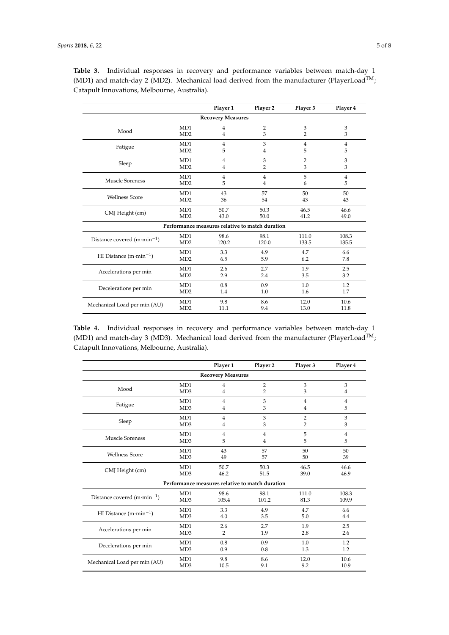|                                       |                                                 | Player 1 | Player 2       | Player 3       | Player 4       |  |  |  |  |
|---------------------------------------|-------------------------------------------------|----------|----------------|----------------|----------------|--|--|--|--|
| <b>Recovery Measures</b>              |                                                 |          |                |                |                |  |  |  |  |
| Mood                                  | MD1                                             | 4        | $\overline{2}$ | 3              | 3              |  |  |  |  |
|                                       | MD2                                             | 4        | 3              | 2              | 3              |  |  |  |  |
| Fatigue                               | MD1                                             | 4        | 3              | $\overline{4}$ | $\overline{4}$ |  |  |  |  |
|                                       | MD <sub>2</sub>                                 | 5        | 4              | 5              | 5              |  |  |  |  |
| Sleep                                 | MD1                                             | 4        | 3              | $\overline{2}$ | 3              |  |  |  |  |
|                                       | MD <sub>2</sub>                                 | 4        | $\overline{2}$ | 3              | 3              |  |  |  |  |
| <b>Muscle Soreness</b>                | MD1                                             | 4        | 4              | 5              | $\overline{4}$ |  |  |  |  |
|                                       | MD2                                             | 5        | 4              | 6              | 5              |  |  |  |  |
| <b>Wellness Score</b>                 | MD1                                             | 43       | 57             | 50             | 50             |  |  |  |  |
|                                       | MD2                                             | 36       | 54             | 43             | 43             |  |  |  |  |
| CMJ Height (cm)                       | MD1                                             | 50.7     | 50.3           | 46.5           | 46.6           |  |  |  |  |
|                                       | MD2                                             | 43.0     | 50.0           | 41.2           | 49.0           |  |  |  |  |
|                                       | Performance measures relative to match duration |          |                |                |                |  |  |  |  |
| Distance covered $(m \cdot min^{-1})$ | MD1                                             | 98.6     | 98.1           | 111.0          | 108.3          |  |  |  |  |
|                                       | MD2                                             | 120.2    | 120.0          | 133.5          | 135.5          |  |  |  |  |
| HI Distance $(m \cdot min^{-1})$      | MD1                                             | 3.3      | 4.9            | 4.7            | 6.6            |  |  |  |  |
|                                       | MD2                                             | 6.5      | 5.9            | 6.2            | 7.8            |  |  |  |  |
| Accelerations per min                 | MD1                                             | 2.6      | 2.7            | 1.9            | 2.5            |  |  |  |  |
|                                       | MD <sub>2</sub>                                 | 2.9      | 2.4            | 3.5            | 3.2            |  |  |  |  |
| Decelerations per min                 | MD1                                             | 0.8      | 0.9            | 1.0            | 1.2            |  |  |  |  |
|                                       | MD2                                             | 1.4      | 1.0            | 1.6            | 1.7            |  |  |  |  |
| Mechanical Load per min (AU)          | MD1                                             | 9.8      | 8.6            | 12.0           | 10.6           |  |  |  |  |
|                                       | MD <sub>2</sub>                                 | 11.1     | 9.4            | 13.0           | 11.8           |  |  |  |  |

<span id="page-5-0"></span>

|  |                                              |  |  | Table 3. Individual responses in recovery and performance variables between match-day 1                |  |  |
|--|----------------------------------------------|--|--|--------------------------------------------------------------------------------------------------------|--|--|
|  |                                              |  |  | (MD1) and match-day 2 (MD2). Mechanical load derived from the manufacturer (PlayerLoad <sup>TM</sup> ; |  |  |
|  | Catapult Innovations, Melbourne, Australia). |  |  |                                                                                                        |  |  |

<span id="page-5-1"></span>**Table 4.** Individual responses in recovery and performance variables between match-day 1 (MD1) and match-day 3 (MD3). Mechanical load derived from the manufacturer (PlayerLoad<sup>TM</sup>; Catapult Innovations, Melbourne, Australia).

|                                       |                  | Player 1       | Player 2                                        | Player 3       | Player 4       |  |  |  |
|---------------------------------------|------------------|----------------|-------------------------------------------------|----------------|----------------|--|--|--|
| <b>Recovery Measures</b>              |                  |                |                                                 |                |                |  |  |  |
| Mood                                  | MD1              | 4              | $\overline{2}$                                  | 3              | 3              |  |  |  |
|                                       | MD3              | 4              | $\overline{2}$                                  | 3              | 4              |  |  |  |
| Fatigue                               | MD1              | $\overline{4}$ | 3                                               | $\overline{4}$ | $\overline{4}$ |  |  |  |
|                                       | MD <sub>3</sub>  | 4              | 3                                               | 4              | 5              |  |  |  |
|                                       | MD1              | $\overline{4}$ | 3                                               | $\overline{2}$ | 3              |  |  |  |
| Sleep                                 | MD <sub>3</sub>  | 4              | 3                                               | 2              | 3              |  |  |  |
|                                       | M <sub>D</sub> 1 | $\overline{4}$ | 4                                               | 5              | $\overline{4}$ |  |  |  |
| <b>Muscle Soreness</b>                | MD3              | 5              | 4                                               | 5              | 5              |  |  |  |
|                                       | MD1              | 43             | 57                                              | 50             | 50             |  |  |  |
| <b>Wellness Score</b>                 | MD <sub>3</sub>  | 49             | 57                                              | 50             | 39             |  |  |  |
|                                       | MD1              | 50.7           | 50.3                                            | 46.5           | 46.6           |  |  |  |
| CMJ Height (cm)                       | MD <sub>3</sub>  | 46.2           | 51.5                                            | 39.0           | 46.9           |  |  |  |
|                                       |                  |                | Performance measures relative to match duration |                |                |  |  |  |
|                                       | MD1              | 98.6           | 98.1                                            | 111.0          | 108.3          |  |  |  |
| Distance covered $(m \cdot min^{-1})$ | MD <sub>3</sub>  | 105.4          | 101.2                                           | 81.3           | 109.9          |  |  |  |
|                                       | MD1              | 3.3            | 4.9                                             | 4.7            | 6.6            |  |  |  |
| HI Distance $(m \cdot min^{-1})$      | MD <sub>3</sub>  | 4.0            | 3.5                                             | 5.0            | 4.4            |  |  |  |
| Accelerations per min                 | MD1              | 2.6            | 2.7                                             | 1.9            | 2.5            |  |  |  |
|                                       | MD3              | $\overline{2}$ | 1.9                                             | 2.8            | 2.6            |  |  |  |
| Decelerations per min                 | M <sub>D</sub> 1 | 0.8            | 0.9                                             | 1.0            | 1.2            |  |  |  |
|                                       | MD <sub>3</sub>  | 0.9            | 0.8                                             | 1.3            | 1.2            |  |  |  |
|                                       | MD1              | 9.8            | 8.6                                             | 12.0           | 10.6           |  |  |  |
| Mechanical Load per min (AU)          | MD3              | 10.5           | 9.1                                             | 9.2            | 10.9           |  |  |  |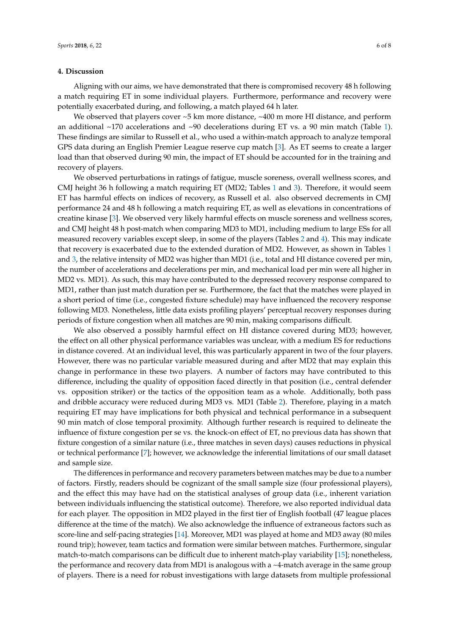#### **4. Discussion**

Aligning with our aims, we have demonstrated that there is compromised recovery 48 h following a match requiring ET in some individual players. Furthermore, performance and recovery were potentially exacerbated during, and following, a match played 64 h later.

We observed that players cover ~5 km more distance, ~400 m more HI distance, and perform an additional  $\sim$ 170 accelerations and  $\sim$ 90 decelerations during ET vs. a 90 min match (Table [1\)](#page-3-1). These findings are similar to Russell et al., who used a within-match approach to analyze temporal GPS data during an English Premier League reserve cup match [\[3\]](#page-7-2). As ET seems to create a larger load than that observed during 90 min, the impact of ET should be accounted for in the training and recovery of players.

We observed perturbations in ratings of fatigue, muscle soreness, overall wellness scores, and CMJ height 36 h following a match requiring ET (MD2; Tables [1](#page-3-1) and [3\)](#page-5-0). Therefore, it would seem ET has harmful effects on indices of recovery, as Russell et al. also observed decrements in CMJ performance 24 and 48 h following a match requiring ET, as well as elevations in concentrations of creatine kinase [\[3\]](#page-7-2). We observed very likely harmful effects on muscle soreness and wellness scores, and CMJ height 48 h post-match when comparing MD3 to MD1, including medium to large ESs for all measured recovery variables except sleep, in some of the players (Tables [2](#page-4-0) and [4\)](#page-5-1). This may indicate that recovery is exacerbated due to the extended duration of MD2. However, as shown in Tables [1](#page-3-1) and [3,](#page-5-0) the relative intensity of MD2 was higher than MD1 (i.e., total and HI distance covered per min, the number of accelerations and decelerations per min, and mechanical load per min were all higher in MD2 vs. MD1). As such, this may have contributed to the depressed recovery response compared to MD1, rather than just match duration per se. Furthermore, the fact that the matches were played in a short period of time (i.e., congested fixture schedule) may have influenced the recovery response following MD3. Nonetheless, little data exists profiling players' perceptual recovery responses during periods of fixture congestion when all matches are 90 min, making comparisons difficult.

We also observed a possibly harmful effect on HI distance covered during MD3; however, the effect on all other physical performance variables was unclear, with a medium ES for reductions in distance covered. At an individual level, this was particularly apparent in two of the four players. However, there was no particular variable measured during and after MD2 that may explain this change in performance in these two players. A number of factors may have contributed to this difference, including the quality of opposition faced directly in that position (i.e., central defender vs. opposition striker) or the tactics of the opposition team as a whole. Additionally, both pass and dribble accuracy were reduced during MD3 vs. MD1 (Table [2\)](#page-4-0). Therefore, playing in a match requiring ET may have implications for both physical and technical performance in a subsequent 90 min match of close temporal proximity. Although further research is required to delineate the influence of fixture congestion per se vs. the knock-on effect of ET, no previous data has shown that fixture congestion of a similar nature (i.e., three matches in seven days) causes reductions in physical or technical performance [\[7\]](#page-7-6); however, we acknowledge the inferential limitations of our small dataset and sample size.

The differences in performance and recovery parameters between matches may be due to a number of factors. Firstly, readers should be cognizant of the small sample size (four professional players), and the effect this may have had on the statistical analyses of group data (i.e., inherent variation between individuals influencing the statistical outcome). Therefore, we also reported individual data for each player. The opposition in MD2 played in the first tier of English football (47 league places difference at the time of the match). We also acknowledge the influence of extraneous factors such as score-line and self-pacing strategies [\[14\]](#page-8-3). Moreover, MD1 was played at home and MD3 away (80 miles round trip); however, team tactics and formation were similar between matches. Furthermore, singular match-to-match comparisons can be difficult due to inherent match-play variability [\[15\]](#page-8-4); nonetheless, the performance and recovery data from MD1 is analogous with a ~4-match average in the same group of players. There is a need for robust investigations with large datasets from multiple professional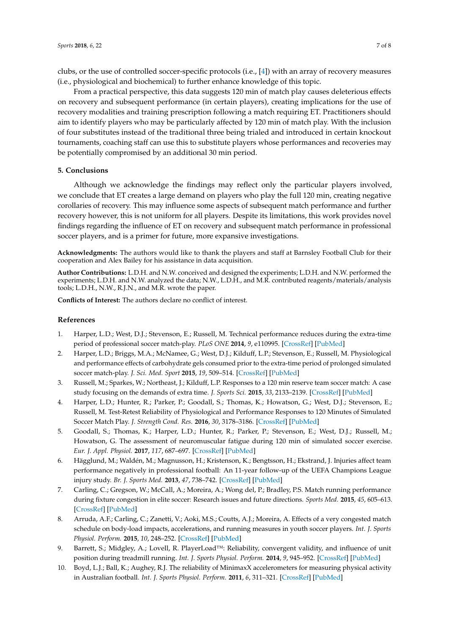clubs, or the use of controlled soccer-specific protocols (i.e., [\[4\]](#page-7-1)) with an array of recovery measures (i.e., physiological and biochemical) to further enhance knowledge of this topic.

From a practical perspective, this data suggests 120 min of match play causes deleterious effects on recovery and subsequent performance (in certain players), creating implications for the use of recovery modalities and training prescription following a match requiring ET. Practitioners should aim to identify players who may be particularly affected by 120 min of match play. With the inclusion of four substitutes instead of the traditional three being trialed and introduced in certain knockout tournaments, coaching staff can use this to substitute players whose performances and recoveries may be potentially compromised by an additional 30 min period.

#### **5. Conclusions**

Although we acknowledge the findings may reflect only the particular players involved, we conclude that ET creates a large demand on players who play the full 120 min, creating negative corollaries of recovery. This may influence some aspects of subsequent match performance and further recovery however, this is not uniform for all players. Despite its limitations, this work provides novel findings regarding the influence of ET on recovery and subsequent match performance in professional soccer players, and is a primer for future, more expansive investigations.

**Acknowledgments:** The authors would like to thank the players and staff at Barnsley Football Club for their cooperation and Alex Bailey for his assistance in data acquisition.

**Author Contributions:** L.D.H. and N.W. conceived and designed the experiments; L.D.H. and N.W. performed the experiments; L.D.H. and N.W. analyzed the data; N.W., L.D.H., and M.R. contributed reagents/materials/analysis tools; L.D.H., N.W., R.J.N., and M.R. wrote the paper.

**Conflicts of Interest:** The authors declare no conflict of interest.

#### **References**

- <span id="page-7-0"></span>1. Harper, L.D.; West, D.J.; Stevenson, E.; Russell, M. Technical performance reduces during the extra-time period of professional soccer match-play. *PLoS ONE* **2014**, *9*, e110995. [\[CrossRef\]](http://dx.doi.org/10.1371/journal.pone.0110995) [\[PubMed\]](http://www.ncbi.nlm.nih.gov/pubmed/25343724)
- 2. Harper, L.D.; Briggs, M.A.; McNamee, G.; West, D.J.; Kilduff, L.P.; Stevenson, E.; Russell, M. Physiological and performance effects of carbohydrate gels consumed prior to the extra-time period of prolonged simulated soccer match-play. *J. Sci. Med. Sport* **2015**, *19*, 509–514. [\[CrossRef\]](http://dx.doi.org/10.1016/j.jsams.2015.06.009) [\[PubMed\]](http://www.ncbi.nlm.nih.gov/pubmed/26115589)
- <span id="page-7-2"></span>3. Russell, M.; Sparkes, W.; Northeast, J.; Kilduff, L.P. Responses to a 120 min reserve team soccer match: A case study focusing on the demands of extra time. *J. Sports Sci.* **2015**, *33*, 2133–2139. [\[CrossRef\]](http://dx.doi.org/10.1080/02640414.2015.1064153) [\[PubMed\]](http://www.ncbi.nlm.nih.gov/pubmed/26148212)
- <span id="page-7-1"></span>4. Harper, L.D.; Hunter, R.; Parker, P.; Goodall, S.; Thomas, K.; Howatson, G.; West, D.J.; Stevenson, E.; Russell, M. Test-Retest Reliability of Physiological and Performance Responses to 120 Minutes of Simulated Soccer Match Play. *J. Strength Cond. Res.* **2016**, *30*, 3178–3186. [\[CrossRef\]](http://dx.doi.org/10.1519/JSC.0000000000001400) [\[PubMed\]](http://www.ncbi.nlm.nih.gov/pubmed/26950356)
- <span id="page-7-3"></span>5. Goodall, S.; Thomas, K.; Harper, L.D.; Hunter, R.; Parker, P.; Stevenson, E.; West, D.J.; Russell, M.; Howatson, G. The assessment of neuromuscular fatigue during 120 min of simulated soccer exercise. *Eur. J. Appl. Physiol.* **2017**, *117*, 687–697. [\[CrossRef\]](http://dx.doi.org/10.1007/s00421-017-3561-9) [\[PubMed\]](http://www.ncbi.nlm.nih.gov/pubmed/28247027)
- <span id="page-7-4"></span>6. Hägglund, M.; Waldén, M.; Magnusson, H.; Kristenson, K.; Bengtsson, H.; Ekstrand, J. Injuries affect team performance negatively in professional football: An 11-year follow-up of the UEFA Champions League injury study. *Br. J. Sports Med.* **2013**, *47*, 738–742. [\[CrossRef\]](http://dx.doi.org/10.1136/bjsports-2013-092215) [\[PubMed\]](http://www.ncbi.nlm.nih.gov/pubmed/23645832)
- <span id="page-7-6"></span>7. Carling, C.; Gregson, W.; McCall, A.; Moreira, A.; Wong del, P.; Bradley, P.S. Match running performance during fixture congestion in elite soccer: Research issues and future directions. *Sports Med.* **2015**, *45*, 605–613. [\[CrossRef\]](http://dx.doi.org/10.1007/s40279-015-0313-z) [\[PubMed\]](http://www.ncbi.nlm.nih.gov/pubmed/25694027)
- <span id="page-7-5"></span>8. Arruda, A.F.; Carling, C.; Zanetti, V.; Aoki, M.S.; Coutts, A.J.; Moreira, A. Effects of a very congested match schedule on body-load impacts, accelerations, and running measures in youth soccer players. *Int. J. Sports Physiol. Perform.* **2015**, *10*, 248–252. [\[CrossRef\]](http://dx.doi.org/10.1123/ijspp.2014-0148) [\[PubMed\]](http://www.ncbi.nlm.nih.gov/pubmed/25117378)
- <span id="page-7-7"></span>9. Barrett, S.; Midgley, A.; Lovell, R. PlayerLoad™: Reliability, convergent validity, and influence of unit position during treadmill running. *Int. J. Sports Physiol. Perform.* **2014**, *9*, 945–952. [\[CrossRef\]](http://dx.doi.org/10.1123/ijspp.2013-0418) [\[PubMed\]](http://www.ncbi.nlm.nih.gov/pubmed/24622625)
- <span id="page-7-8"></span>10. Boyd, L.J.; Ball, K.; Aughey, R.J. The reliability of MinimaxX accelerometers for measuring physical activity in Australian football. *Int. J. Sports Physiol. Perform.* **2011**, *6*, 311–321. [\[CrossRef\]](http://dx.doi.org/10.1123/ijspp.6.3.311) [\[PubMed\]](http://www.ncbi.nlm.nih.gov/pubmed/21911857)